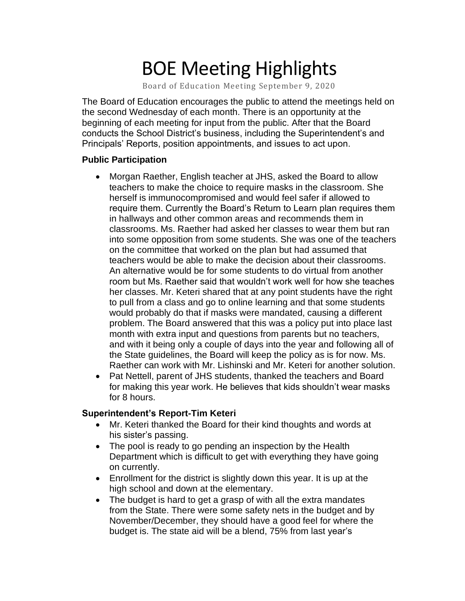# BOE Meeting Highlights

Board of Education Meeting September 9, 2020

 The Board of Education encourages the public to attend the meetings held on the second Wednesday of each month. There is an opportunity at the beginning of each meeting for input from the public. After that the Board conducts the School District's business, including the Superintendent's and Principals' Reports, position appointments, and issues to act upon.

## **Public Participation**

- • Morgan Raether, English teacher at JHS, asked the Board to allow teachers to make the choice to require masks in the classroom. She herself is immunocompromised and would feel safer if allowed to require them. Currently the Board's Return to Learn plan requires them classrooms. Ms. Raether had asked her classes to wear them but ran into some opposition from some students. She was one of the teachers on the committee that worked on the plan but had assumed that teachers would be able to make the decision about their classrooms. An alternative would be for some students to do virtual from another room but Ms. Raether said that wouldn't work well for how she teaches her classes. Mr. Keteri shared that at any point students have the right to pull from a class and go to online learning and that some students would probably do that if masks were mandated, causing a different problem. The Board answered that this was a policy put into place last month with extra input and questions from parents but no teachers, and with it being only a couple of days into the year and following all of the State guidelines, the Board will keep the policy as is for now. Ms. Raether can work with Mr. Lishinski and Mr. Keteri for another solution. in hallways and other common areas and recommends them in
- • Pat Nettell, parent of JHS students, thanked the teachers and Board for making this year work. He believes that kids shouldn't wear masks for 8 hours.

## **Superintendent's Report-Tim Keteri**

- Mr. Keteri thanked the Board for their kind thoughts and words at his sister's passing.
- The pool is ready to go pending an inspection by the Health Department which is difficult to get with everything they have going on currently.
- Enrollment for the district is slightly down this year. It is up at the high school and down at the elementary.
- The budget is hard to get a grasp of with all the extra mandates from the State. There were some safety nets in the budget and by November/December, they should have a good feel for where the budget is. The state aid will be a blend, 75% from last year's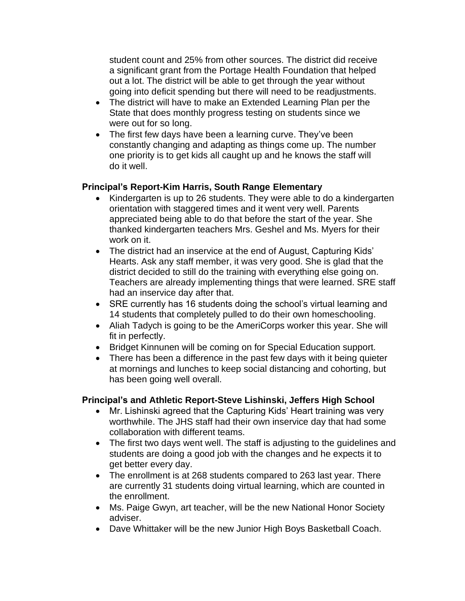student count and 25% from other sources. The district did receive a significant grant from the Portage Health Foundation that helped out a lot. The district will be able to get through the year without going into deficit spending but there will need to be readjustments.

- The district will have to make an Extended Learning Plan per the State that does monthly progress testing on students since we were out for so long.
- The first few days have been a learning curve. They've been constantly changing and adapting as things come up. The number one priority is to get kids all caught up and he knows the staff will do it well.

## **Principal's Report-Kim Harris, South Range Elementary**

- • Kindergarten is up to 26 students. They were able to do a kindergarten orientation with staggered times and it went very well. Parents appreciated being able to do that before the start of the year. She thanked kindergarten teachers Mrs. Geshel and Ms. Myers for their work on it.
- • The district had an inservice at the end of August, Capturing Kids' Hearts. Ask any staff member, it was very good. She is glad that the district decided to still do the training with everything else going on. Teachers are already implementing things that were learned. SRE staff had an inservice day after that.
- • SRE currently has 16 students doing the school's virtual learning and 14 students that completely pulled to do their own homeschooling.
- • Aliah Tadych is going to be the AmeriCorps worker this year. She will fit in perfectly.
- Bridget Kinnunen will be coming on for Special Education support.
- • There has been a difference in the past few days with it being quieter at mornings and lunches to keep social distancing and cohorting, but has been going well overall.

## **Principal's and Athletic Report-Steve Lishinski, Jeffers High School**

- • Mr. Lishinski agreed that the Capturing Kids' Heart training was very worthwhile. The JHS staff had their own inservice day that had some collaboration with different teams.
- • The first two days went well. The staff is adjusting to the guidelines and students are doing a good job with the changes and he expects it to get better every day.
- • The enrollment is at 268 students compared to 263 last year. There are currently 31 students doing virtual learning, which are counted in the enrollment.
- • Ms. Paige Gwyn, art teacher, will be the new National Honor Society adviser.
- Dave Whittaker will be the new Junior High Boys Basketball Coach.